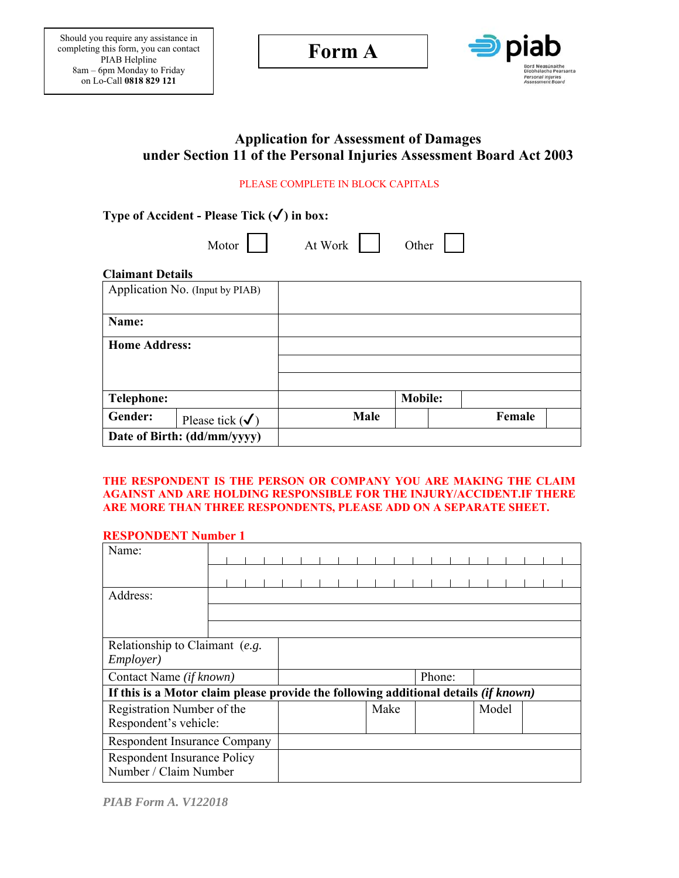



# **Application for Assessment of Damages under Section 11 of the Personal Injuries Assessment Board Act 2003**

#### PLEASE COMPLETE IN BLOCK CAPITALS

## **Type of Accident - Please Tick (**✔**) in box:**

Motor | At Work | Other

| <b>Claimant Details</b> |                                 |      |                |        |
|-------------------------|---------------------------------|------|----------------|--------|
|                         | Application No. (Input by PIAB) |      |                |        |
|                         |                                 |      |                |        |
| Name:                   |                                 |      |                |        |
| <b>Home Address:</b>    |                                 |      |                |        |
|                         |                                 |      |                |        |
|                         |                                 |      |                |        |
| Telephone:              |                                 |      | <b>Mobile:</b> |        |
| Gender:                 | Please tick $(\checkmark)$      | Male |                | Female |
|                         | Date of Birth: (dd/mm/yyyy)     |      |                |        |

#### **THE RESPONDENT IS THE PERSON OR COMPANY YOU ARE MAKING THE CLAIM AGAINST AND ARE HOLDING RESPONSIBLE FOR THE INJURY/ACCIDENT.IF THERE ARE MORE THAN THREE RESPONDENTS, PLEASE ADD ON A SEPARATE SHEET.**

#### **RESPONDENT Number 1**

| Name:                                                                               |  |  |  |  |  |  |  |      |  |        |  |       |  |  |
|-------------------------------------------------------------------------------------|--|--|--|--|--|--|--|------|--|--------|--|-------|--|--|
|                                                                                     |  |  |  |  |  |  |  |      |  |        |  |       |  |  |
| Address:                                                                            |  |  |  |  |  |  |  |      |  |        |  |       |  |  |
|                                                                                     |  |  |  |  |  |  |  |      |  |        |  |       |  |  |
|                                                                                     |  |  |  |  |  |  |  |      |  |        |  |       |  |  |
| Relationship to Claimant (e.g.                                                      |  |  |  |  |  |  |  |      |  |        |  |       |  |  |
| <i>Employer</i> )                                                                   |  |  |  |  |  |  |  |      |  |        |  |       |  |  |
| Contact Name (if known)                                                             |  |  |  |  |  |  |  |      |  | Phone: |  |       |  |  |
| If this is a Motor claim please provide the following additional details (if known) |  |  |  |  |  |  |  |      |  |        |  |       |  |  |
| Registration Number of the<br>Respondent's vehicle:                                 |  |  |  |  |  |  |  | Make |  |        |  | Model |  |  |
| <b>Respondent Insurance Company</b>                                                 |  |  |  |  |  |  |  |      |  |        |  |       |  |  |
| <b>Respondent Insurance Policy</b><br>Number / Claim Number                         |  |  |  |  |  |  |  |      |  |        |  |       |  |  |

*PIAB Form A. V122018*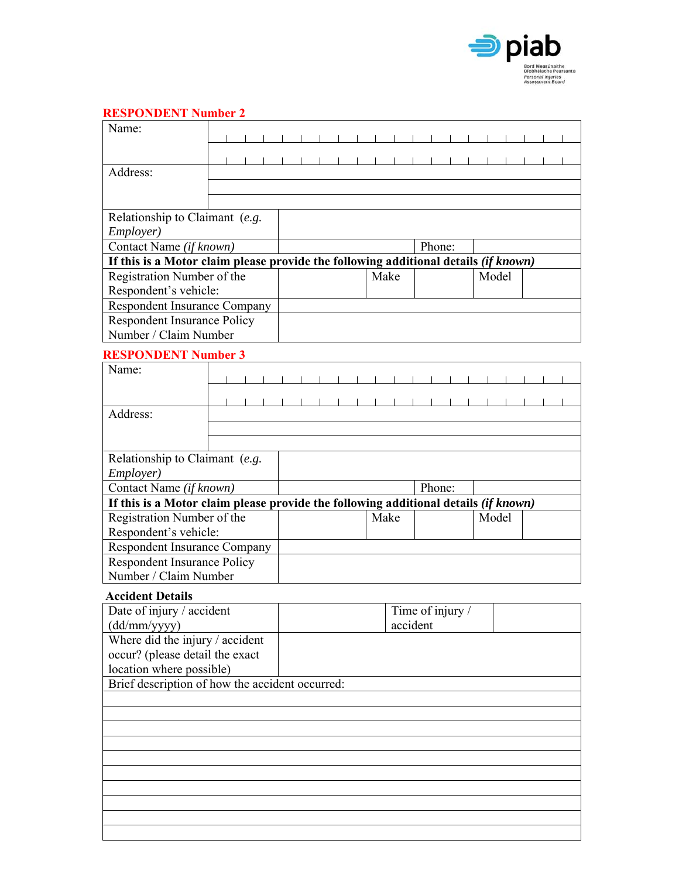

#### **RESPONDENT Number 2**

| Name:                               |                                                                                     |  |  |  |  |  |  |  |      |  |  |        |  |       |  |  |  |  |
|-------------------------------------|-------------------------------------------------------------------------------------|--|--|--|--|--|--|--|------|--|--|--------|--|-------|--|--|--|--|
|                                     |                                                                                     |  |  |  |  |  |  |  |      |  |  |        |  |       |  |  |  |  |
|                                     |                                                                                     |  |  |  |  |  |  |  |      |  |  |        |  |       |  |  |  |  |
| Address:                            |                                                                                     |  |  |  |  |  |  |  |      |  |  |        |  |       |  |  |  |  |
|                                     |                                                                                     |  |  |  |  |  |  |  |      |  |  |        |  |       |  |  |  |  |
|                                     |                                                                                     |  |  |  |  |  |  |  |      |  |  |        |  |       |  |  |  |  |
| Relationship to Claimant (e.g.      |                                                                                     |  |  |  |  |  |  |  |      |  |  |        |  |       |  |  |  |  |
| <i>Employer</i> )                   |                                                                                     |  |  |  |  |  |  |  |      |  |  |        |  |       |  |  |  |  |
| Contact Name (if known)             |                                                                                     |  |  |  |  |  |  |  |      |  |  | Phone: |  |       |  |  |  |  |
|                                     | If this is a Motor claim please provide the following additional details (if known) |  |  |  |  |  |  |  |      |  |  |        |  |       |  |  |  |  |
|                                     |                                                                                     |  |  |  |  |  |  |  |      |  |  |        |  |       |  |  |  |  |
| Registration Number of the          |                                                                                     |  |  |  |  |  |  |  | Make |  |  |        |  | Model |  |  |  |  |
| Respondent's vehicle:               |                                                                                     |  |  |  |  |  |  |  |      |  |  |        |  |       |  |  |  |  |
| <b>Respondent Insurance Company</b> |                                                                                     |  |  |  |  |  |  |  |      |  |  |        |  |       |  |  |  |  |
| <b>Respondent Insurance Policy</b>  |                                                                                     |  |  |  |  |  |  |  |      |  |  |        |  |       |  |  |  |  |
| Number / Claim Number               |                                                                                     |  |  |  |  |  |  |  |      |  |  |        |  |       |  |  |  |  |

## **RESPONDENT Number 3**

| Name:                                                                               |  |  |  |  |  |  |  |  |  |      |  |        |  |       |  |  |
|-------------------------------------------------------------------------------------|--|--|--|--|--|--|--|--|--|------|--|--------|--|-------|--|--|
|                                                                                     |  |  |  |  |  |  |  |  |  |      |  |        |  |       |  |  |
|                                                                                     |  |  |  |  |  |  |  |  |  |      |  |        |  |       |  |  |
| Address:                                                                            |  |  |  |  |  |  |  |  |  |      |  |        |  |       |  |  |
|                                                                                     |  |  |  |  |  |  |  |  |  |      |  |        |  |       |  |  |
|                                                                                     |  |  |  |  |  |  |  |  |  |      |  |        |  |       |  |  |
| Relationship to Claimant (e.g.                                                      |  |  |  |  |  |  |  |  |  |      |  |        |  |       |  |  |
| <i>Employer</i> )                                                                   |  |  |  |  |  |  |  |  |  |      |  |        |  |       |  |  |
| Contact Name (if known)                                                             |  |  |  |  |  |  |  |  |  |      |  | Phone: |  |       |  |  |
| If this is a Motor claim please provide the following additional details (if known) |  |  |  |  |  |  |  |  |  |      |  |        |  |       |  |  |
| Registration Number of the                                                          |  |  |  |  |  |  |  |  |  | Make |  |        |  | Model |  |  |
| Respondent's vehicle:                                                               |  |  |  |  |  |  |  |  |  |      |  |        |  |       |  |  |
| <b>Respondent Insurance Company</b>                                                 |  |  |  |  |  |  |  |  |  |      |  |        |  |       |  |  |
| <b>Respondent Insurance Policy</b>                                                  |  |  |  |  |  |  |  |  |  |      |  |        |  |       |  |  |
| Number / Claim Number                                                               |  |  |  |  |  |  |  |  |  |      |  |        |  |       |  |  |

## **Accident Details**

| Date of injury / accident                       | Time of injury /<br>accident |  |
|-------------------------------------------------|------------------------------|--|
| (dd/mm/yyyy)<br>Where did the injury / accident |                              |  |
| occur? (please detail the exact                 |                              |  |
| location where possible)                        |                              |  |
| Brief description of how the accident occurred: |                              |  |
|                                                 |                              |  |
|                                                 |                              |  |
|                                                 |                              |  |
|                                                 |                              |  |
|                                                 |                              |  |
|                                                 |                              |  |
|                                                 |                              |  |
|                                                 |                              |  |
|                                                 |                              |  |
|                                                 |                              |  |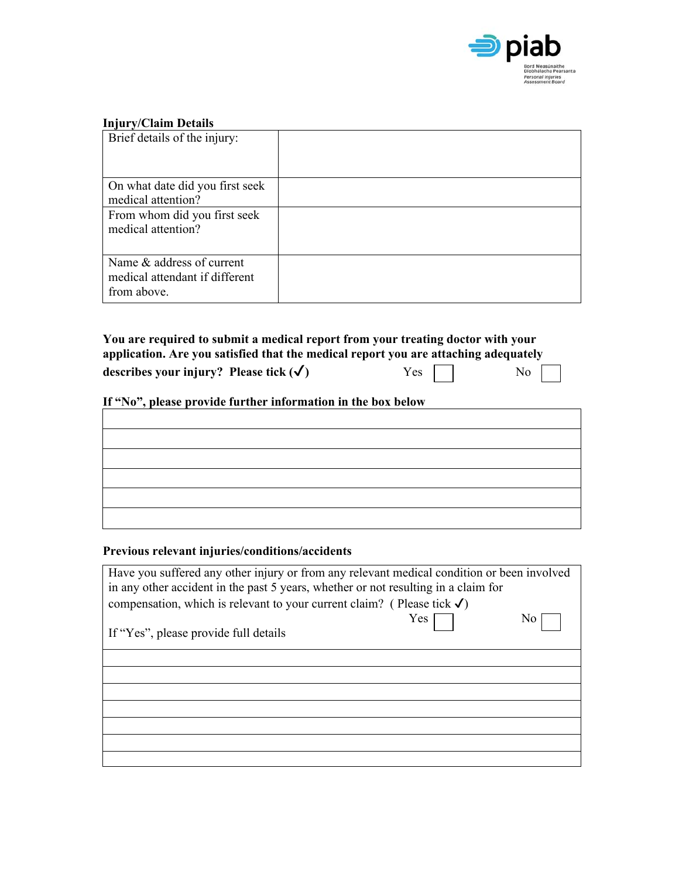

| Brief details of the injury:                                |  |
|-------------------------------------------------------------|--|
| On what date did you first seek<br>medical attention?       |  |
|                                                             |  |
| From whom did you first seek                                |  |
| medical attention?                                          |  |
| Name & address of current<br>medical attendant if different |  |
| from above.                                                 |  |

# **You are required to submit a medical report from your treating doctor with your application. Are you satisfied that the medical report you are attaching adequately**

| describes your injury? Please tick $(\checkmark)$ |  | Y es – | No. |
|---------------------------------------------------|--|--------|-----|
|---------------------------------------------------|--|--------|-----|

- 
- 

# **If "No", please provide further information in the box below**

# **Previous relevant injuries/conditions/accidents**

| Have you suffered any other injury or from any relevant medical condition or been involved<br>in any other accident in the past 5 years, whether or not resulting in a claim for<br>compensation, which is relevant to your current claim? (Please tick $\checkmark$ ) |     |
|------------------------------------------------------------------------------------------------------------------------------------------------------------------------------------------------------------------------------------------------------------------------|-----|
| <b>Yes</b><br>If "Yes", please provide full details                                                                                                                                                                                                                    | No. |
|                                                                                                                                                                                                                                                                        |     |
|                                                                                                                                                                                                                                                                        |     |
|                                                                                                                                                                                                                                                                        |     |